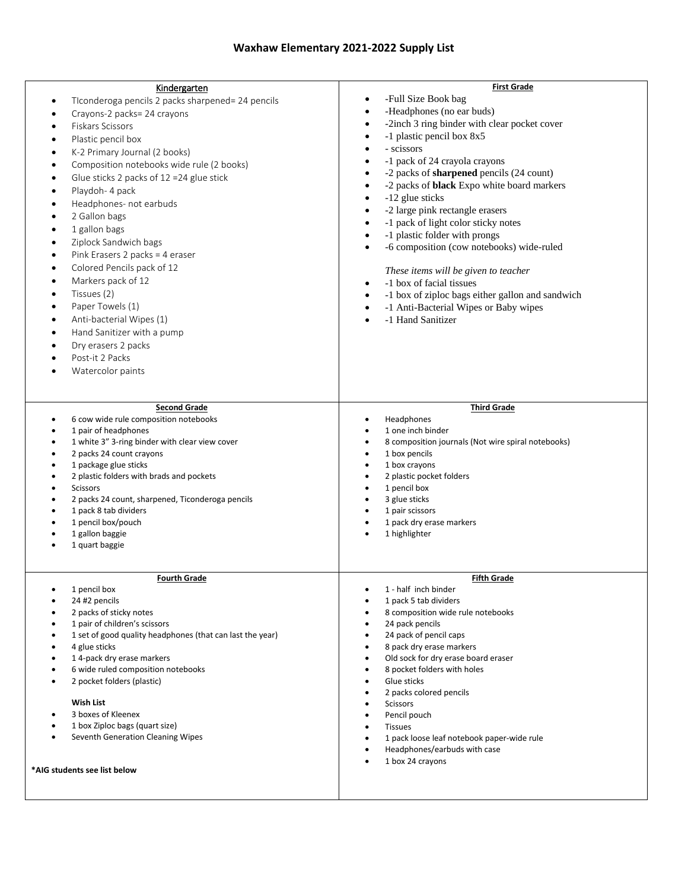## **Waxhaw Elementary 2021-2022 Supply List**

| Kindergarten<br>TIconderoga pencils 2 packs sharpened= 24 pencils<br>٠<br>Crayons-2 packs= 24 crayons<br>Fiskars Scissors<br>Plastic pencil box<br>K-2 Primary Journal (2 books)<br>Composition notebooks wide rule (2 books)<br>Glue sticks 2 packs of 12 = 24 glue stick<br>Playdoh- 4 pack<br>Headphones- not earbuds<br>2 Gallon bags<br>1 gallon bags<br>Ziplock Sandwich bags<br>Pink Erasers 2 packs = 4 eraser<br>Colored Pencils pack of 12<br>Markers pack of 12<br>Tissues (2)<br>Paper Towels (1)<br>Anti-bacterial Wipes (1)<br>Hand Sanitizer with a pump<br>Dry erasers 2 packs<br>Post-it 2 Packs<br>Watercolor paints<br><b>Second Grade</b><br>6 cow wide rule composition notebooks<br>1 pair of headphones<br>1 white 3" 3-ring binder with clear view cover<br>2 packs 24 count crayons<br>1 package glue sticks<br>2 plastic folders with brads and pockets<br><b>Scissors</b><br>2 packs 24 count, sharpened, Ticonderoga pencils<br>1 pack 8 tab dividers<br>1 pencil box/pouch<br>1 gallon baggie<br>1 quart baggie | <b>First Grade</b><br>-Full Size Book bag<br>$\bullet$<br>-Headphones (no ear buds)<br>$\bullet$<br>-2inch 3 ring binder with clear pocket cover<br>٠<br>-1 plastic pencil box 8x5<br>$\bullet$<br>- scissors<br>$\bullet$<br>-1 pack of 24 crayola crayons<br>$\bullet$<br>-2 packs of <b>sharpened</b> pencils (24 count)<br>$\bullet$<br>-2 packs of <b>black</b> Expo white board markers<br>$\bullet$<br>-12 glue sticks<br>$\bullet$<br>-2 large pink rectangle erasers<br>$\bullet$<br>-1 pack of light color sticky notes<br>$\bullet$<br>-1 plastic folder with prongs<br>$\bullet$<br>-6 composition (cow notebooks) wide-ruled<br>$\bullet$<br>These items will be given to teacher<br>-1 box of facial tissues<br>$\bullet$<br>-1 box of ziploc bags either gallon and sandwich<br>$\bullet$<br>-1 Anti-Bacterial Wipes or Baby wipes<br>$\bullet$<br>-1 Hand Sanitizer<br><b>Third Grade</b><br>Headphones<br>$\bullet$<br>1 one inch binder<br>8 composition journals (Not wire spiral notebooks)<br>1 box pencils<br>٠<br>1 box crayons<br>$\bullet$<br>2 plastic pocket folders<br>$\bullet$<br>1 pencil box<br>3 glue sticks<br>1 pair scissors<br>1 pack dry erase markers<br>$\bullet$<br>1 highlighter |
|----------------------------------------------------------------------------------------------------------------------------------------------------------------------------------------------------------------------------------------------------------------------------------------------------------------------------------------------------------------------------------------------------------------------------------------------------------------------------------------------------------------------------------------------------------------------------------------------------------------------------------------------------------------------------------------------------------------------------------------------------------------------------------------------------------------------------------------------------------------------------------------------------------------------------------------------------------------------------------------------------------------------------------------------|----------------------------------------------------------------------------------------------------------------------------------------------------------------------------------------------------------------------------------------------------------------------------------------------------------------------------------------------------------------------------------------------------------------------------------------------------------------------------------------------------------------------------------------------------------------------------------------------------------------------------------------------------------------------------------------------------------------------------------------------------------------------------------------------------------------------------------------------------------------------------------------------------------------------------------------------------------------------------------------------------------------------------------------------------------------------------------------------------------------------------------------------------------------------------------------------------------------------------|
| <b>Fourth Grade</b><br>1 pencil box<br>$\bullet$<br>24 #2 pencils<br>2 packs of sticky notes<br>1 pair of children's scissors<br>1 set of good quality headphones (that can last the year)<br>4 glue sticks<br>14-pack dry erase markers<br>6 wide ruled composition notebooks<br>2 pocket folders (plastic)<br><b>Wish List</b><br>3 boxes of Kleenex<br>1 box Ziploc bags (quart size)<br>Seventh Generation Cleaning Wipes<br>*AIG students see list below                                                                                                                                                                                                                                                                                                                                                                                                                                                                                                                                                                                | <b>Fifth Grade</b><br>1 - half inch binder<br>$\bullet$<br>1 pack 5 tab dividers<br>8 composition wide rule notebooks<br>24 pack pencils<br>$\bullet$<br>24 pack of pencil caps<br>٠<br>8 pack dry erase markers<br>$\bullet$<br>Old sock for dry erase board eraser<br>$\bullet$<br>8 pocket folders with holes<br>$\bullet$<br>Glue sticks<br>$\bullet$<br>2 packs colored pencils<br>$\bullet$<br><b>Scissors</b><br>$\bullet$<br>Pencil pouch<br>$\bullet$<br><b>Tissues</b><br>$\bullet$<br>1 pack loose leaf notebook paper-wide rule<br>$\bullet$<br>Headphones/earbuds with case<br>٠<br>1 box 24 crayons<br>$\bullet$                                                                                                                                                                                                                                                                                                                                                                                                                                                                                                                                                                                             |